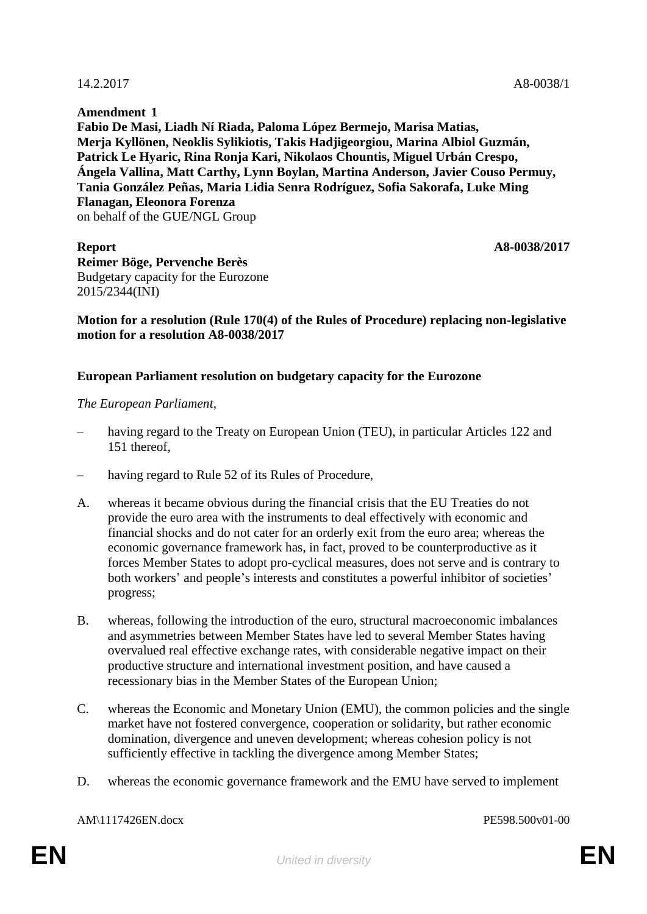**Amendment 1 Fabio De Masi, Liadh Ní Riada, Paloma López Bermejo, Marisa Matias, Merja Kyllönen, Neoklis Sylikiotis, Takis Hadjigeorgiou, Marina Albiol Guzmán, Patrick Le Hyaric, Rina Ronja Kari, Nikolaos Chountis, Miguel Urbán Crespo, Ángela Vallina, Matt Carthy, Lynn Boylan, Martina Anderson, Javier Couso Permuy, Tania González Peñas, Maria Lidia Senra Rodríguez, Sofia Sakorafa, Luke Ming Flanagan, Eleonora Forenza** on behalf of the GUE/NGL Group

**Report A8-0038/2017 Reimer Böge, Pervenche Berès** Budgetary capacity for the Eurozone 2015/2344(INI)

## **Motion for a resolution (Rule 170(4) of the Rules of Procedure) replacing non-legislative motion for a resolution A8-0038/2017**

## **European Parliament resolution on budgetary capacity for the Eurozone**

*The European Parliament*,

- having regard to the Treaty on European Union (TEU), in particular Articles 122 and 151 thereof,
- having regard to Rule 52 of its Rules of Procedure,
- A. whereas it became obvious during the financial crisis that the EU Treaties do not provide the euro area with the instruments to deal effectively with economic and financial shocks and do not cater for an orderly exit from the euro area; whereas the economic governance framework has, in fact, proved to be counterproductive as it forces Member States to adopt pro-cyclical measures, does not serve and is contrary to both workers' and people's interests and constitutes a powerful inhibitor of societies' progress;
- B. whereas, following the introduction of the euro, structural macroeconomic imbalances and asymmetries between Member States have led to several Member States having overvalued real effective exchange rates, with considerable negative impact on their productive structure and international investment position, and have caused a recessionary bias in the Member States of the European Union;
- C. whereas the Economic and Monetary Union (EMU), the common policies and the single market have not fostered convergence, cooperation or solidarity, but rather economic domination, divergence and uneven development; whereas cohesion policy is not sufficiently effective in tackling the divergence among Member States;
- D. whereas the economic governance framework and the EMU have served to implement

AM\1117426EN.docx PE598.500v01-00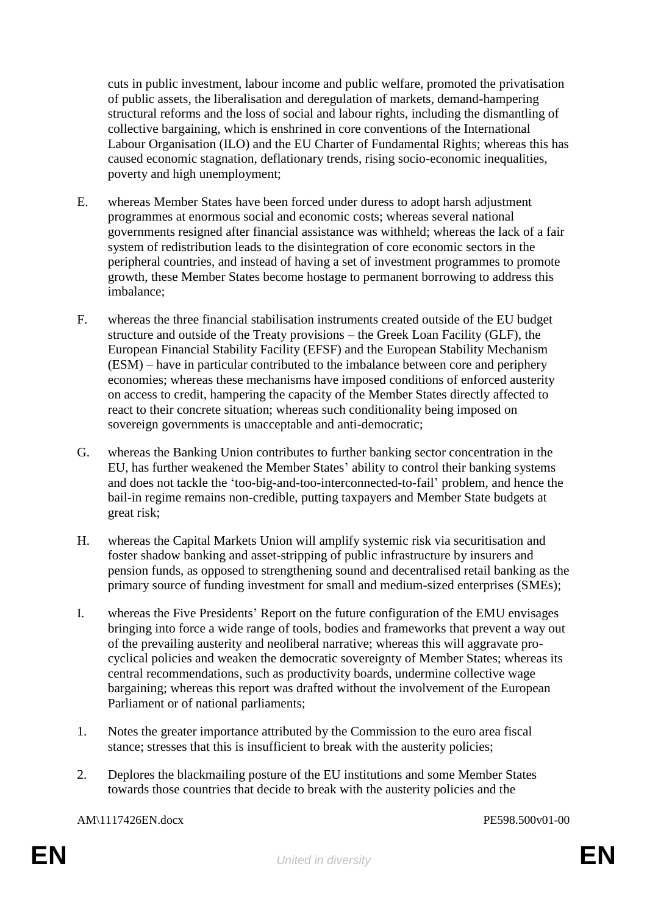cuts in public investment, labour income and public welfare, promoted the privatisation of public assets, the liberalisation and deregulation of markets, demand-hampering structural reforms and the loss of social and labour rights, including the dismantling of collective bargaining, which is enshrined in core conventions of the International Labour Organisation (ILO) and the EU Charter of Fundamental Rights; whereas this has caused economic stagnation, deflationary trends, rising socio-economic inequalities, poverty and high unemployment;

- E. whereas Member States have been forced under duress to adopt harsh adjustment programmes at enormous social and economic costs; whereas several national governments resigned after financial assistance was withheld; whereas the lack of a fair system of redistribution leads to the disintegration of core economic sectors in the peripheral countries, and instead of having a set of investment programmes to promote growth, these Member States become hostage to permanent borrowing to address this imbalance;
- F. whereas the three financial stabilisation instruments created outside of the EU budget structure and outside of the Treaty provisions – the Greek Loan Facility (GLF), the European Financial Stability Facility (EFSF) and the European Stability Mechanism (ESM) – have in particular contributed to the imbalance between core and periphery economies; whereas these mechanisms have imposed conditions of enforced austerity on access to credit, hampering the capacity of the Member States directly affected to react to their concrete situation; whereas such conditionality being imposed on sovereign governments is unacceptable and anti-democratic;
- G. whereas the Banking Union contributes to further banking sector concentration in the EU, has further weakened the Member States' ability to control their banking systems and does not tackle the 'too-big-and-too-interconnected-to-fail' problem, and hence the bail-in regime remains non-credible, putting taxpayers and Member State budgets at great risk;
- H. whereas the Capital Markets Union will amplify systemic risk via securitisation and foster shadow banking and asset-stripping of public infrastructure by insurers and pension funds, as opposed to strengthening sound and decentralised retail banking as the primary source of funding investment for small and medium-sized enterprises (SMEs);
- I. whereas the Five Presidents' Report on the future configuration of the EMU envisages bringing into force a wide range of tools, bodies and frameworks that prevent a way out of the prevailing austerity and neoliberal narrative; whereas this will aggravate procyclical policies and weaken the democratic sovereignty of Member States; whereas its central recommendations, such as productivity boards, undermine collective wage bargaining; whereas this report was drafted without the involvement of the European Parliament or of national parliaments;
- 1. Notes the greater importance attributed by the Commission to the euro area fiscal stance; stresses that this is insufficient to break with the austerity policies;
- 2. Deplores the blackmailing posture of the EU institutions and some Member States towards those countries that decide to break with the austerity policies and the

AM\1117426EN.docx PE598.500v01-00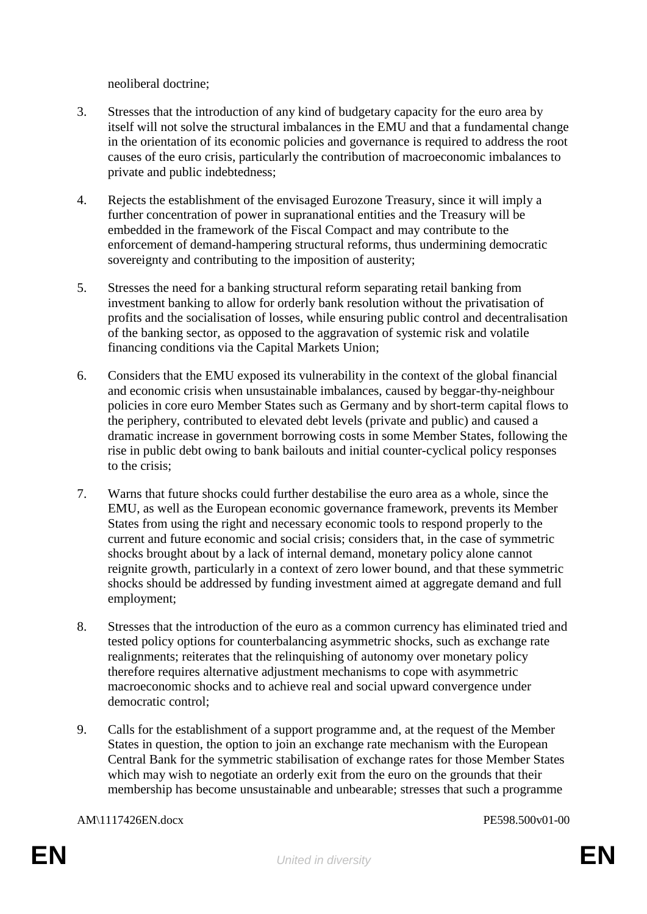neoliberal doctrine;

- 3. Stresses that the introduction of any kind of budgetary capacity for the euro area by itself will not solve the structural imbalances in the EMU and that a fundamental change in the orientation of its economic policies and governance is required to address the root causes of the euro crisis, particularly the contribution of macroeconomic imbalances to private and public indebtedness;
- 4. Rejects the establishment of the envisaged Eurozone Treasury, since it will imply a further concentration of power in supranational entities and the Treasury will be embedded in the framework of the Fiscal Compact and may contribute to the enforcement of demand-hampering structural reforms, thus undermining democratic sovereignty and contributing to the imposition of austerity;
- 5. Stresses the need for a banking structural reform separating retail banking from investment banking to allow for orderly bank resolution without the privatisation of profits and the socialisation of losses, while ensuring public control and decentralisation of the banking sector, as opposed to the aggravation of systemic risk and volatile financing conditions via the Capital Markets Union;
- 6. Considers that the EMU exposed its vulnerability in the context of the global financial and economic crisis when unsustainable imbalances, caused by beggar-thy-neighbour policies in core euro Member States such as Germany and by short-term capital flows to the periphery, contributed to elevated debt levels (private and public) and caused a dramatic increase in government borrowing costs in some Member States, following the rise in public debt owing to bank bailouts and initial counter-cyclical policy responses to the crisis;
- 7. Warns that future shocks could further destabilise the euro area as a whole, since the EMU, as well as the European economic governance framework, prevents its Member States from using the right and necessary economic tools to respond properly to the current and future economic and social crisis; considers that, in the case of symmetric shocks brought about by a lack of internal demand, monetary policy alone cannot reignite growth, particularly in a context of zero lower bound, and that these symmetric shocks should be addressed by funding investment aimed at aggregate demand and full employment;
- 8. Stresses that the introduction of the euro as a common currency has eliminated tried and tested policy options for counterbalancing asymmetric shocks, such as exchange rate realignments; reiterates that the relinquishing of autonomy over monetary policy therefore requires alternative adjustment mechanisms to cope with asymmetric macroeconomic shocks and to achieve real and social upward convergence under democratic control;
- 9. Calls for the establishment of a support programme and, at the request of the Member States in question, the option to join an exchange rate mechanism with the European Central Bank for the symmetric stabilisation of exchange rates for those Member States which may wish to negotiate an orderly exit from the euro on the grounds that their membership has become unsustainable and unbearable; stresses that such a programme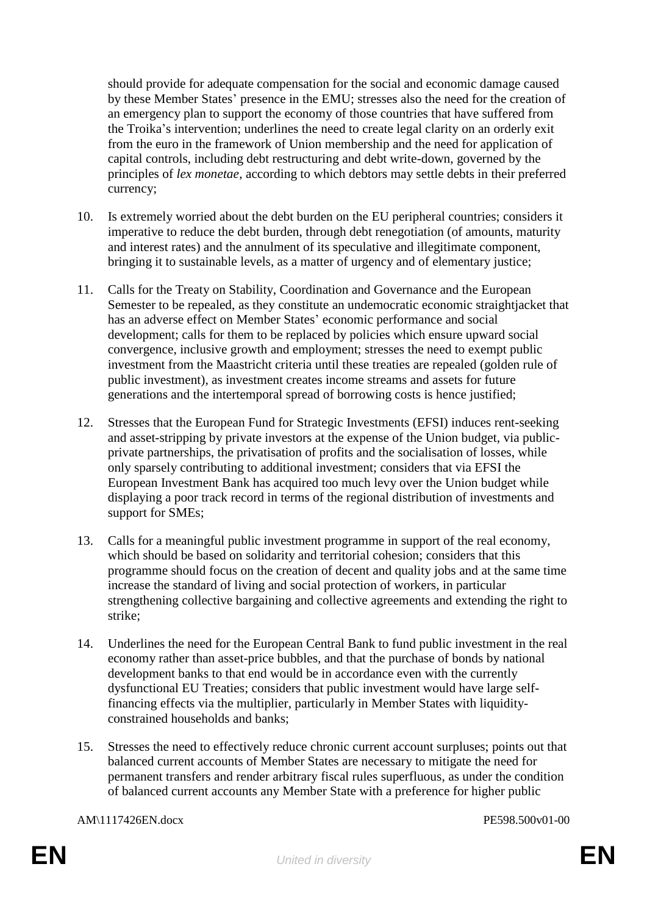should provide for adequate compensation for the social and economic damage caused by these Member States' presence in the EMU; stresses also the need for the creation of an emergency plan to support the economy of those countries that have suffered from the Troika's intervention; underlines the need to create legal clarity on an orderly exit from the euro in the framework of Union membership and the need for application of capital controls, including debt restructuring and debt write-down, governed by the principles of *lex monetae*, according to which debtors may settle debts in their preferred currency;

- 10. Is extremely worried about the debt burden on the EU peripheral countries; considers it imperative to reduce the debt burden, through debt renegotiation (of amounts, maturity and interest rates) and the annulment of its speculative and illegitimate component, bringing it to sustainable levels, as a matter of urgency and of elementary justice;
- 11. Calls for the Treaty on Stability, Coordination and Governance and the European Semester to be repealed, as they constitute an undemocratic economic straightjacket that has an adverse effect on Member States' economic performance and social development; calls for them to be replaced by policies which ensure upward social convergence, inclusive growth and employment; stresses the need to exempt public investment from the Maastricht criteria until these treaties are repealed (golden rule of public investment), as investment creates income streams and assets for future generations and the intertemporal spread of borrowing costs is hence justified;
- 12. Stresses that the European Fund for Strategic Investments (EFSI) induces rent-seeking and asset-stripping by private investors at the expense of the Union budget, via publicprivate partnerships, the privatisation of profits and the socialisation of losses, while only sparsely contributing to additional investment; considers that via EFSI the European Investment Bank has acquired too much levy over the Union budget while displaying a poor track record in terms of the regional distribution of investments and support for SMEs;
- 13. Calls for a meaningful public investment programme in support of the real economy, which should be based on solidarity and territorial cohesion; considers that this programme should focus on the creation of decent and quality jobs and at the same time increase the standard of living and social protection of workers, in particular strengthening collective bargaining and collective agreements and extending the right to strike;
- 14. Underlines the need for the European Central Bank to fund public investment in the real economy rather than asset-price bubbles, and that the purchase of bonds by national development banks to that end would be in accordance even with the currently dysfunctional EU Treaties; considers that public investment would have large selffinancing effects via the multiplier, particularly in Member States with liquidityconstrained households and banks;
- 15. Stresses the need to effectively reduce chronic current account surpluses; points out that balanced current accounts of Member States are necessary to mitigate the need for permanent transfers and render arbitrary fiscal rules superfluous, as under the condition of balanced current accounts any Member State with a preference for higher public